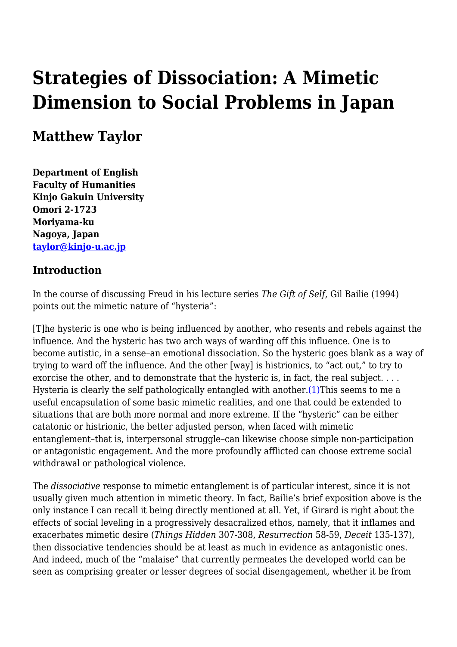# **Strategies of Dissociation: A Mimetic Dimension to Social Problems in Japan**

# **Matthew Taylor**

**Department of English Faculty of Humanities Kinjo Gakuin University Omori 2-1723 Moriyama-ku Nagoya, Japan [taylor@kinjo-u.ac.jp](mailto:taylor@kinjo-u.ac.jp)**

#### **Introduction**

In the course of discussing Freud in his lecture series *The Gift of Self*, Gil Bailie (1994) points out the mimetic nature of "hysteria":

[T]he hysteric is one who is being influenced by another, who resents and rebels against the influence. And the hysteric has two arch ways of warding off this influence. One is to become autistic, in a sense–an emotional dissociation. So the hysteric goes blank as a way of trying to ward off the influence. And the other [way] is histrionics, to "act out," to try to exorcise the other, and to demonstrate that the hysteric is, in fact, the real subject. . . . Hysteria is clearly the self pathologically entangled with another. $(1)$ This seems to me a useful encapsulation of some basic mimetic realities, and one that could be extended to situations that are both more normal and more extreme. If the "hysteric" can be either catatonic or histrionic, the better adjusted person, when faced with mimetic entanglement–that is, interpersonal struggle–can likewise choose simple non-participation or antagonistic engagement. And the more profoundly afflicted can choose extreme social withdrawal or pathological violence.

The *dissociative* response to mimetic entanglement is of particular interest, since it is not usually given much attention in mimetic theory. In fact, Bailie's brief exposition above is the only instance I can recall it being directly mentioned at all. Yet, if Girard is right about the effects of social leveling in a progressively desacralized ethos, namely, that it inflames and exacerbates mimetic desire (*Things Hidden* 307-308, *Resurrection* 58-59, *Deceit* 135-137), then dissociative tendencies should be at least as much in evidence as antagonistic ones. And indeed, much of the "malaise" that currently permeates the developed world can be seen as comprising greater or lesser degrees of social disengagement, whether it be from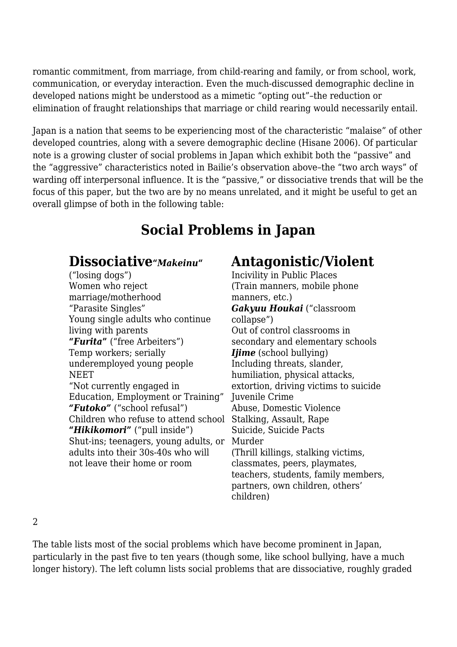romantic commitment, from marriage, from child-rearing and family, or from school, work, communication, or everyday interaction. Even the much-discussed demographic decline in developed nations might be understood as a mimetic "opting out"–the reduction or elimination of fraught relationships that marriage or child rearing would necessarily entail.

Japan is a nation that seems to be experiencing most of the characteristic "malaise" of other developed countries, along with a severe demographic decline (Hisane 2006). Of particular note is a growing cluster of social problems in Japan which exhibit both the "passive" and the "aggressive" characteristics noted in Bailie's observation above–the "two arch ways" of warding off interpersonal influence. It is the "passive," or dissociative trends that will be the focus of this paper, but the two are by no means unrelated, and it might be useful to get an overall glimpse of both in the following table:

# **Social Problems in Japan**

## **Dissociative"***Makeinu***"**

("losing dogs") Women who reject marriage/motherhood "Parasite Singles" Young single adults who continue living with parents **"***Furita***"** ("free Arbeiters") Temp workers; serially underemployed young people NEET "Not currently engaged in Education, Employment or Training" *"Futoko"* ("school refusal") Children who refuse to attend school Stalking, Assault, Rape **"***Hikikomori***"** ("pull inside") Shut-ins; teenagers, young adults, or Murder adults into their 30s-40s who will not leave their home or room

# **Antagonistic/Violent**

Incivility in Public Places (Train manners, mobile phone manners, etc.) *Gakyuu Houkai* ("classroom collapse") Out of control classrooms in secondary and elementary schools *<i>Ijime* (school bullying) Including threats, slander, humiliation, physical attacks, extortion, driving victims to suicide Juvenile Crime Abuse, Domestic Violence Suicide, Suicide Pacts (Thrill killings, stalking victims, classmates, peers, playmates, teachers, students, family members, partners, own children, others' children)

2

The table lists most of the social problems which have become prominent in Japan, particularly in the past five to ten years (though some, like school bullying, have a much longer history). The left column lists social problems that are dissociative, roughly graded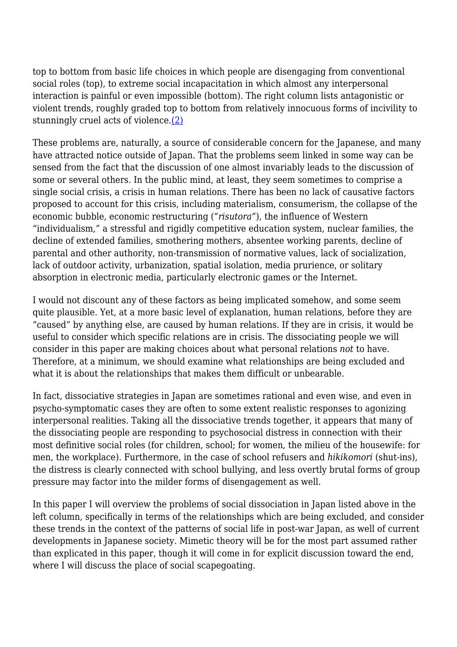top to bottom from basic life choices in which people are disengaging from conventional social roles (top), to extreme social incapacitation in which almost any interpersonal interaction is painful or even impossible (bottom). The right column lists antagonistic or violent trends, roughly graded top to bottom from relatively innocuous forms of incivility to stunningly cruel acts of violence[.\(2\)](http://anthropoetics.ucla.edu/ap1201/taylor#n2)

These problems are, naturally, a source of considerable concern for the Japanese, and many have attracted notice outside of Japan. That the problems seem linked in some way can be sensed from the fact that the discussion of one almost invariably leads to the discussion of some or several others. In the public mind, at least, they seem sometimes to comprise a single social crisis, a crisis in human relations. There has been no lack of causative factors proposed to account for this crisis, including materialism, consumerism, the collapse of the economic bubble, economic restructuring (*"risutora"*), the influence of Western "individualism," a stressful and rigidly competitive education system, nuclear families, the decline of extended families, smothering mothers, absentee working parents, decline of parental and other authority, non-transmission of normative values, lack of socialization, lack of outdoor activity, urbanization, spatial isolation, media prurience, or solitary absorption in electronic media, particularly electronic games or the Internet.

I would not discount any of these factors as being implicated somehow, and some seem quite plausible. Yet, at a more basic level of explanation, human relations, before they are "caused" by anything else, are caused by human relations. If they are in crisis, it would be useful to consider which specific relations are in crisis. The dissociating people we will consider in this paper are making choices about what personal relations *not* to have. Therefore, at a minimum, we should examine what relationships are being excluded and what it is about the relationships that makes them difficult or unbearable.

In fact, dissociative strategies in Japan are sometimes rational and even wise, and even in psycho-symptomatic cases they are often to some extent realistic responses to agonizing interpersonal realities. Taking all the dissociative trends together, it appears that many of the dissociating people are responding to psychosocial distress in connection with their most definitive social roles (for children, school; for women, the milieu of the housewife: for men, the workplace). Furthermore, in the case of school refusers and *hikikomori* (shut-ins), the distress is clearly connected with school bullying, and less overtly brutal forms of group pressure may factor into the milder forms of disengagement as well.

In this paper I will overview the problems of social dissociation in Japan listed above in the left column, specifically in terms of the relationships which are being excluded, and consider these trends in the context of the patterns of social life in post-war Japan, as well of current developments in Japanese society. Mimetic theory will be for the most part assumed rather than explicated in this paper, though it will come in for explicit discussion toward the end, where I will discuss the place of social scapegoating.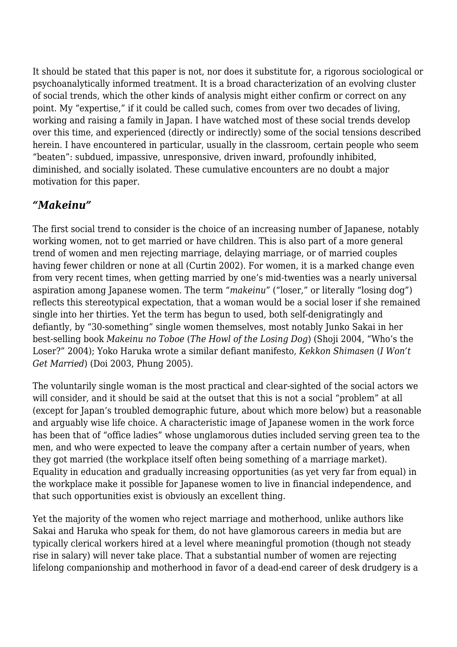It should be stated that this paper is not, nor does it substitute for, a rigorous sociological or psychoanalytically informed treatment. It is a broad characterization of an evolving cluster of social trends, which the other kinds of analysis might either confirm or correct on any point. My "expertise," if it could be called such, comes from over two decades of living, working and raising a family in Japan. I have watched most of these social trends develop over this time, and experienced (directly or indirectly) some of the social tensions described herein. I have encountered in particular, usually in the classroom, certain people who seem "beaten": subdued, impassive, unresponsive, driven inward, profoundly inhibited, diminished, and socially isolated. These cumulative encounters are no doubt a major motivation for this paper.

#### *"Makeinu"*

The first social trend to consider is the choice of an increasing number of Japanese, notably working women, not to get married or have children. This is also part of a more general trend of women and men rejecting marriage, delaying marriage, or of married couples having fewer children or none at all (Curtin 2002). For women, it is a marked change even from very recent times, when getting married by one's mid-twenties was a nearly universal aspiration among Japanese women. The term "*makeinu*" ("loser," or literally "losing dog") reflects this stereotypical expectation, that a woman would be a social loser if she remained single into her thirties. Yet the term has begun to used, both self-denigratingly and defiantly, by "30-something" single women themselves, most notably Junko Sakai in her best-selling book *Makeinu no Toboe* (*The Howl of the Losing Dog*) (Shoji 2004, "Who's the Loser?" 2004); Yoko Haruka wrote a similar defiant manifesto, *Kekkon Shimasen* (*I Won't Get Married*) (Doi 2003, Phung 2005).

The voluntarily single woman is the most practical and clear-sighted of the social actors we will consider, and it should be said at the outset that this is not a social "problem" at all (except for Japan's troubled demographic future, about which more below) but a reasonable and arguably wise life choice. A characteristic image of Japanese women in the work force has been that of "office ladies" whose unglamorous duties included serving green tea to the men, and who were expected to leave the company after a certain number of years, when they got married (the workplace itself often being something of a marriage market). Equality in education and gradually increasing opportunities (as yet very far from equal) in the workplace make it possible for Japanese women to live in financial independence, and that such opportunities exist is obviously an excellent thing.

Yet the majority of the women who reject marriage and motherhood, unlike authors like Sakai and Haruka who speak for them, do not have glamorous careers in media but are typically clerical workers hired at a level where meaningful promotion (though not steady rise in salary) will never take place. That a substantial number of women are rejecting lifelong companionship and motherhood in favor of a dead-end career of desk drudgery is a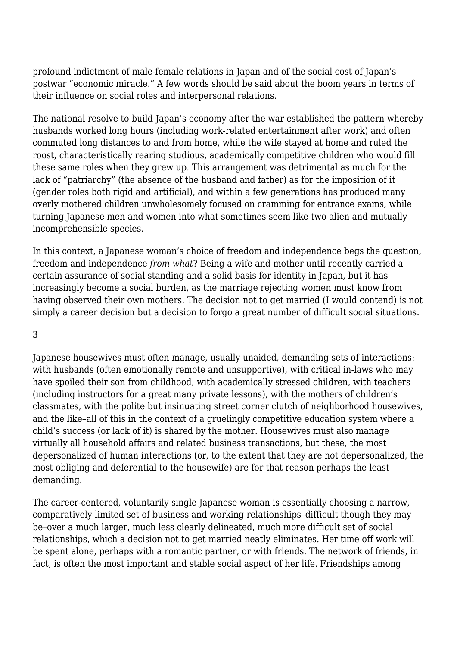profound indictment of male-female relations in Japan and of the social cost of Japan's postwar "economic miracle." A few words should be said about the boom years in terms of their influence on social roles and interpersonal relations.

The national resolve to build Japan's economy after the war established the pattern whereby husbands worked long hours (including work-related entertainment after work) and often commuted long distances to and from home, while the wife stayed at home and ruled the roost, characteristically rearing studious, academically competitive children who would fill these same roles when they grew up. This arrangement was detrimental as much for the lack of "patriarchy" (the absence of the husband and father) as for the imposition of it (gender roles both rigid and artificial), and within a few generations has produced many overly mothered children unwholesomely focused on cramming for entrance exams, while turning Japanese men and women into what sometimes seem like two alien and mutually incomprehensible species.

In this context, a Japanese woman's choice of freedom and independence begs the question, freedom and independence *from what*? Being a wife and mother until recently carried a certain assurance of social standing and a solid basis for identity in Japan, but it has increasingly become a social burden, as the marriage rejecting women must know from having observed their own mothers. The decision not to get married (I would contend) is not simply a career decision but a decision to forgo a great number of difficult social situations.

#### 3

Japanese housewives must often manage, usually unaided, demanding sets of interactions: with husbands (often emotionally remote and unsupportive), with critical in-laws who may have spoiled their son from childhood, with academically stressed children, with teachers (including instructors for a great many private lessons), with the mothers of children's classmates, with the polite but insinuating street corner clutch of neighborhood housewives, and the like–all of this in the context of a gruelingly competitive education system where a child's success (or lack of it) is shared by the mother. Housewives must also manage virtually all household affairs and related business transactions, but these, the most depersonalized of human interactions (or, to the extent that they are not depersonalized, the most obliging and deferential to the housewife) are for that reason perhaps the least demanding.

The career-centered, voluntarily single Japanese woman is essentially choosing a narrow, comparatively limited set of business and working relationships–difficult though they may be–over a much larger, much less clearly delineated, much more difficult set of social relationships, which a decision not to get married neatly eliminates. Her time off work will be spent alone, perhaps with a romantic partner, or with friends. The network of friends, in fact, is often the most important and stable social aspect of her life. Friendships among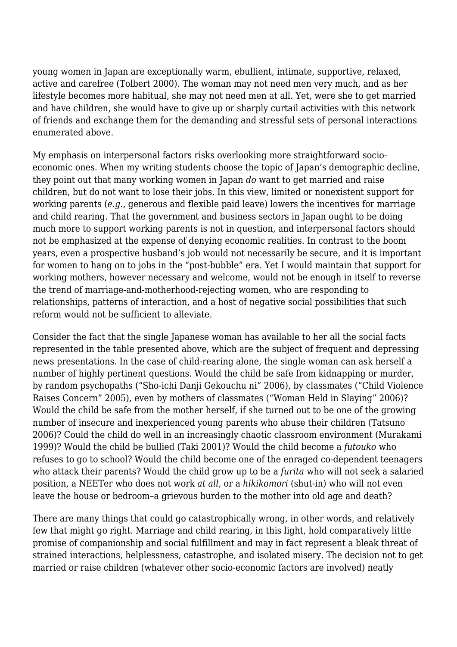young women in Japan are exceptionally warm, ebullient, intimate, supportive, relaxed, active and carefree (Tolbert 2000). The woman may not need men very much, and as her lifestyle becomes more habitual, she may not need men at all. Yet, were she to get married and have children, she would have to give up or sharply curtail activities with this network of friends and exchange them for the demanding and stressful sets of personal interactions enumerated above.

My emphasis on interpersonal factors risks overlooking more straightforward socioeconomic ones. When my writing students choose the topic of Japan's demographic decline, they point out that many working women in Japan *do* want to get married and raise children, but do not want to lose their jobs. In this view, limited or nonexistent support for working parents (*e.g.,* generous and flexible paid leave) lowers the incentives for marriage and child rearing. That the government and business sectors in Japan ought to be doing much more to support working parents is not in question, and interpersonal factors should not be emphasized at the expense of denying economic realities. In contrast to the boom years, even a prospective husband's job would not necessarily be secure, and it is important for women to hang on to jobs in the "post-bubble" era. Yet I would maintain that support for working mothers, however necessary and welcome, would not be enough in itself to reverse the trend of marriage-and-motherhood-rejecting women, who are responding to relationships, patterns of interaction, and a host of negative social possibilities that such reform would not be sufficient to alleviate.

Consider the fact that the single Japanese woman has available to her all the social facts represented in the table presented above, which are the subject of frequent and depressing news presentations. In the case of child-rearing alone, the single woman can ask herself a number of highly pertinent questions. Would the child be safe from kidnapping or murder, by random psychopaths ("Sho-ichi Danji Gekouchu ni" 2006), by classmates ("Child Violence Raises Concern" 2005), even by mothers of classmates ("Woman Held in Slaying" 2006)? Would the child be safe from the mother herself, if she turned out to be one of the growing number of insecure and inexperienced young parents who abuse their children (Tatsuno 2006)? Could the child do well in an increasingly chaotic classroom environment (Murakami 1999)? Would the child be bullied (Taki 2001)? Would the child become a *futouko* who refuses to go to school? Would the child become one of the enraged co-dependent teenagers who attack their parents? Would the child grow up to be a *furita* who will not seek a salaried position, a NEETer who does not work *at all*, or a *hikikomori* (shut-in) who will not even leave the house or bedroom–a grievous burden to the mother into old age and death?

There are many things that could go catastrophically wrong, in other words, and relatively few that might go right. Marriage and child rearing, in this light, hold comparatively little promise of companionship and social fulfillment and may in fact represent a bleak threat of strained interactions, helplessness, catastrophe, and isolated misery. The decision not to get married or raise children (whatever other socio-economic factors are involved) neatly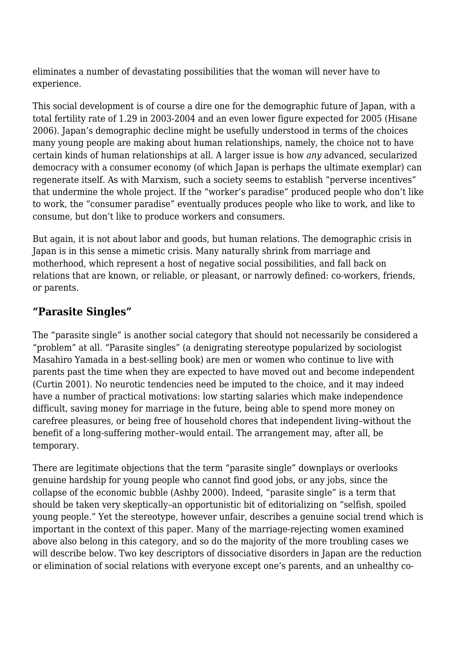eliminates a number of devastating possibilities that the woman will never have to experience.

This social development is of course a dire one for the demographic future of Japan, with a total fertility rate of 1.29 in 2003-2004 and an even lower figure expected for 2005 (Hisane 2006). Japan's demographic decline might be usefully understood in terms of the choices many young people are making about human relationships, namely, the choice not to have certain kinds of human relationships at all. A larger issue is how *any* advanced, secularized democracy with a consumer economy (of which Japan is perhaps the ultimate exemplar) can regenerate itself. As with Marxism, such a society seems to establish "perverse incentives" that undermine the whole project. If the "worker's paradise" produced people who don't like to work, the "consumer paradise" eventually produces people who like to work, and like to consume, but don't like to produce workers and consumers.

But again, it is not about labor and goods, but human relations. The demographic crisis in Japan is in this sense a mimetic crisis. Many naturally shrink from marriage and motherhood, which represent a host of negative social possibilities, and fall back on relations that are known, or reliable, or pleasant, or narrowly defined: co-workers, friends, or parents.

#### **"Parasite Singles"**

The "parasite single" is another social category that should not necessarily be considered a "problem" at all. "Parasite singles" (a denigrating stereotype popularized by sociologist Masahiro Yamada in a best-selling book) are men or women who continue to live with parents past the time when they are expected to have moved out and become independent (Curtin 2001). No neurotic tendencies need be imputed to the choice, and it may indeed have a number of practical motivations: low starting salaries which make independence difficult, saving money for marriage in the future, being able to spend more money on carefree pleasures, or being free of household chores that independent living–without the benefit of a long-suffering mother–would entail. The arrangement may, after all, be temporary.

There are legitimate objections that the term "parasite single" downplays or overlooks genuine hardship for young people who cannot find good jobs, or any jobs, since the collapse of the economic bubble (Ashby 2000). Indeed, "parasite single" is a term that should be taken very skeptically–an opportunistic bit of editorializing on "selfish, spoiled young people." Yet the stereotype, however unfair, describes a genuine social trend which is important in the context of this paper. Many of the marriage-rejecting women examined above also belong in this category, and so do the majority of the more troubling cases we will describe below. Two key descriptors of dissociative disorders in Japan are the reduction or elimination of social relations with everyone except one's parents, and an unhealthy co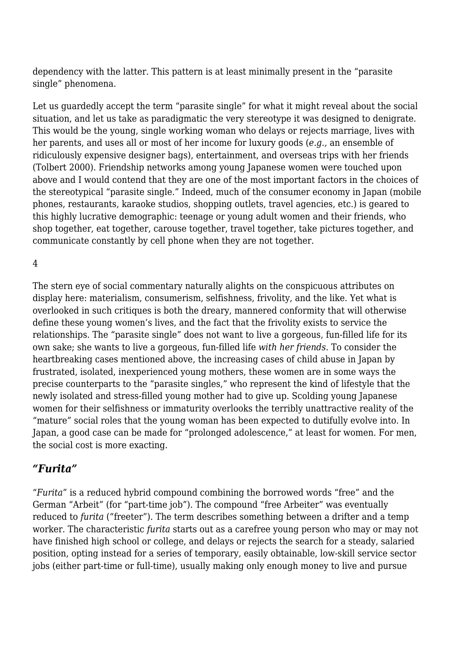dependency with the latter. This pattern is at least minimally present in the "parasite single" phenomena.

Let us guardedly accept the term "parasite single" for what it might reveal about the social situation, and let us take as paradigmatic the very stereotype it was designed to denigrate. This would be the young, single working woman who delays or rejects marriage, lives with her parents, and uses all or most of her income for luxury goods (*e.g.,* an ensemble of ridiculously expensive designer bags), entertainment, and overseas trips with her friends (Tolbert 2000). Friendship networks among young Japanese women were touched upon above and I would contend that they are one of the most important factors in the choices of the stereotypical "parasite single." Indeed, much of the consumer economy in Japan (mobile phones, restaurants, karaoke studios, shopping outlets, travel agencies, etc.) is geared to this highly lucrative demographic: teenage or young adult women and their friends, who shop together, eat together, carouse together, travel together, take pictures together, and communicate constantly by cell phone when they are not together.

4

The stern eye of social commentary naturally alights on the conspicuous attributes on display here: materialism, consumerism, selfishness, frivolity, and the like. Yet what is overlooked in such critiques is both the dreary, mannered conformity that will otherwise define these young women's lives, and the fact that the frivolity exists to service the relationships. The "parasite single" does not want to live a gorgeous, fun-filled life for its own sake; she wants to live a gorgeous, fun-filled life *with her friends*. To consider the heartbreaking cases mentioned above, the increasing cases of child abuse in Japan by frustrated, isolated, inexperienced young mothers, these women are in some ways the precise counterparts to the "parasite singles," who represent the kind of lifestyle that the newly isolated and stress-filled young mother had to give up. Scolding young Japanese women for their selfishness or immaturity overlooks the terribly unattractive reality of the "mature" social roles that the young woman has been expected to dutifully evolve into. In Japan, a good case can be made for "prolonged adolescence," at least for women. For men, the social cost is more exacting.

#### *"Furita"*

"*Furita*" is a reduced hybrid compound combining the borrowed words "free" and the German "Arbeit" (for "part-time job"). The compound "free Arbeiter" was eventually reduced to *furita* ("freeter"). The term describes something between a drifter and a temp worker. The characteristic *furita* starts out as a carefree young person who may or may not have finished high school or college, and delays or rejects the search for a steady, salaried position, opting instead for a series of temporary, easily obtainable, low-skill service sector jobs (either part-time or full-time), usually making only enough money to live and pursue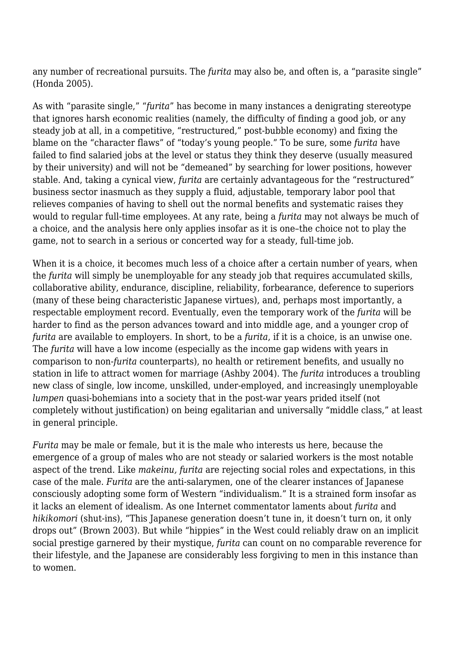any number of recreational pursuits. The *furita* may also be, and often is, a "parasite single" (Honda 2005).

As with "parasite single," "*furita*" has become in many instances a denigrating stereotype that ignores harsh economic realities (namely, the difficulty of finding a good job, or any steady job at all, in a competitive, "restructured," post-bubble economy) and fixing the blame on the "character flaws" of "today's young people." To be sure, some *furita* have failed to find salaried jobs at the level or status they think they deserve (usually measured by their university) and will not be "demeaned" by searching for lower positions, however stable. And, taking a cynical view, *furita* are certainly advantageous for the "restructured" business sector inasmuch as they supply a fluid, adjustable, temporary labor pool that relieves companies of having to shell out the normal benefits and systematic raises they would to regular full-time employees. At any rate, being a *furita* may not always be much of a choice, and the analysis here only applies insofar as it is one–the choice not to play the game, not to search in a serious or concerted way for a steady, full-time job.

When it is a choice, it becomes much less of a choice after a certain number of years, when the *furita* will simply be unemployable for any steady job that requires accumulated skills, collaborative ability, endurance, discipline, reliability, forbearance, deference to superiors (many of these being characteristic Japanese virtues), and, perhaps most importantly, a respectable employment record. Eventually, even the temporary work of the *furita* will be harder to find as the person advances toward and into middle age, and a younger crop of *furita* are available to employers. In short, to be a *furita*, if it is a choice, is an unwise one. The *furita* will have a low income (especially as the income gap widens with years in comparison to non-*furita* counterparts), no health or retirement benefits, and usually no station in life to attract women for marriage (Ashby 2004). The *furita* introduces a troubling new class of single, low income, unskilled, under-employed, and increasingly unemployable *lumpen* quasi-bohemians into a society that in the post-war years prided itself (not completely without justification) on being egalitarian and universally "middle class," at least in general principle.

*Furita* may be male or female, but it is the male who interests us here, because the emergence of a group of males who are not steady or salaried workers is the most notable aspect of the trend. Like *makeinu, furita* are rejecting social roles and expectations, in this case of the male. *Furita* are the anti-salarymen, one of the clearer instances of Japanese consciously adopting some form of Western "individualism." It is a strained form insofar as it lacks an element of idealism. As one Internet commentator laments about *furita* and *hikikomori* (shut-ins), "This Japanese generation doesn't tune in, it doesn't turn on, it only drops out" (Brown 2003). But while "hippies" in the West could reliably draw on an implicit social prestige garnered by their mystique, *furita* can count on no comparable reverence for their lifestyle, and the Japanese are considerably less forgiving to men in this instance than to women.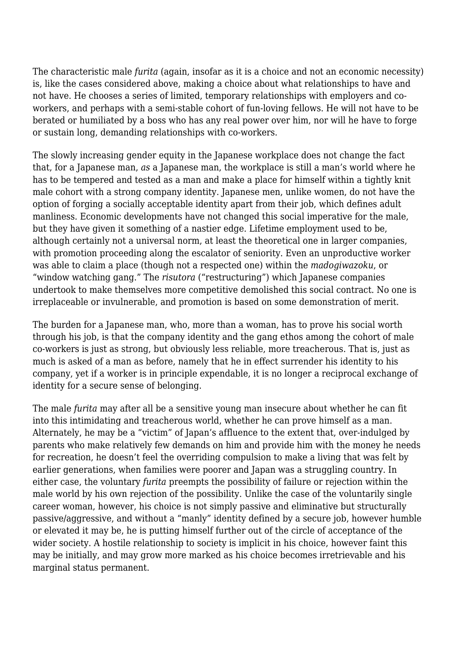The characteristic male *furita* (again, insofar as it is a choice and not an economic necessity) is, like the cases considered above, making a choice about what relationships to have and not have. He chooses a series of limited, temporary relationships with employers and coworkers, and perhaps with a semi-stable cohort of fun-loving fellows. He will not have to be berated or humiliated by a boss who has any real power over him, nor will he have to forge or sustain long, demanding relationships with co-workers.

The slowly increasing gender equity in the Japanese workplace does not change the fact that, for a Japanese man, *as* a Japanese man, the workplace is still a man's world where he has to be tempered and tested as a man and make a place for himself within a tightly knit male cohort with a strong company identity. Japanese men, unlike women, do not have the option of forging a socially acceptable identity apart from their job, which defines adult manliness. Economic developments have not changed this social imperative for the male, but they have given it something of a nastier edge. Lifetime employment used to be, although certainly not a universal norm, at least the theoretical one in larger companies, with promotion proceeding along the escalator of seniority. Even an unproductive worker was able to claim a place (though not a respected one) within the *madogiwazoku*, or "window watching gang." The *risutora* ("restructuring") which Japanese companies undertook to make themselves more competitive demolished this social contract. No one is irreplaceable or invulnerable, and promotion is based on some demonstration of merit.

The burden for a Japanese man, who, more than a woman, has to prove his social worth through his job, is that the company identity and the gang ethos among the cohort of male co-workers is just as strong, but obviously less reliable, more treacherous. That is, just as much is asked of a man as before, namely that he in effect surrender his identity to his company, yet if a worker is in principle expendable, it is no longer a reciprocal exchange of identity for a secure sense of belonging.

The male *furita* may after all be a sensitive young man insecure about whether he can fit into this intimidating and treacherous world, whether he can prove himself as a man. Alternately, he may be a "victim" of Japan's affluence to the extent that, over-indulged by parents who make relatively few demands on him and provide him with the money he needs for recreation, he doesn't feel the overriding compulsion to make a living that was felt by earlier generations, when families were poorer and Japan was a struggling country. In either case, the voluntary *furita* preempts the possibility of failure or rejection within the male world by his own rejection of the possibility. Unlike the case of the voluntarily single career woman, however, his choice is not simply passive and eliminative but structurally passive/aggressive, and without a "manly" identity defined by a secure job, however humble or elevated it may be, he is putting himself further out of the circle of acceptance of the wider society. A hostile relationship to society is implicit in his choice, however faint this may be initially, and may grow more marked as his choice becomes irretrievable and his marginal status permanent.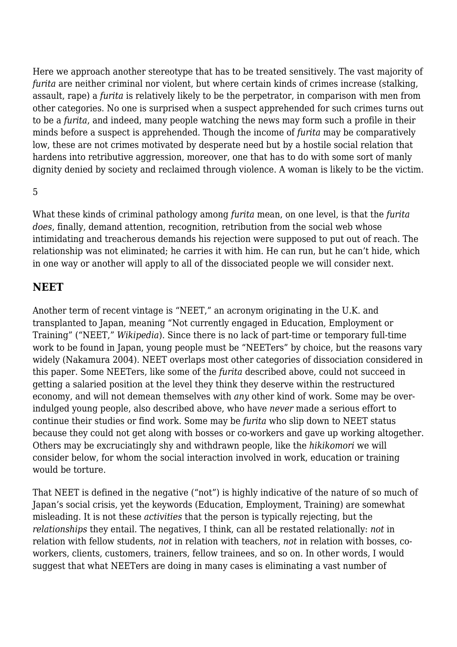Here we approach another stereotype that has to be treated sensitively. The vast majority of *furita* are neither criminal nor violent, but where certain kinds of crimes increase (stalking, assault, rape) a *furita* is relatively likely to be the perpetrator, in comparison with men from other categories. No one is surprised when a suspect apprehended for such crimes turns out to be a *furita*, and indeed, many people watching the news may form such a profile in their minds before a suspect is apprehended. Though the income of *furita* may be comparatively low, these are not crimes motivated by desperate need but by a hostile social relation that hardens into retributive aggression, moreover, one that has to do with some sort of manly dignity denied by society and reclaimed through violence. A woman is likely to be the victim.

5

What these kinds of criminal pathology among *furita* mean, on one level, is that the *furita does*, finally, demand attention, recognition, retribution from the social web whose intimidating and treacherous demands his rejection were supposed to put out of reach. The relationship was not eliminated; he carries it with him. He can run, but he can't hide, which in one way or another will apply to all of the dissociated people we will consider next.

#### **NEET**

Another term of recent vintage is "NEET," an acronym originating in the U.K. and transplanted to Japan, meaning "Not currently engaged in Education, Employment or Training" ("NEET," *Wikipedia*). Since there is no lack of part-time or temporary full-time work to be found in Japan, young people must be "NEETers" by choice, but the reasons vary widely (Nakamura 2004). NEET overlaps most other categories of dissociation considered in this paper. Some NEETers, like some of the *furita* described above, could not succeed in getting a salaried position at the level they think they deserve within the restructured economy, and will not demean themselves with *any* other kind of work. Some may be overindulged young people, also described above, who have *never* made a serious effort to continue their studies or find work. Some may be *furita* who slip down to NEET status because they could not get along with bosses or co-workers and gave up working altogether. Others may be excruciatingly shy and withdrawn people, like the *hikikomori* we will consider below, for whom the social interaction involved in work, education or training would be torture.

That NEET is defined in the negative ("not") is highly indicative of the nature of so much of Japan's social crisis, yet the keywords (Education, Employment, Training) are somewhat misleading. It is not these *activities* that the person is typically rejecting, but the *relationships* they entail. The negatives, I think, can all be restated relationally: *not* in relation with fellow students, *not* in relation with teachers, *not* in relation with bosses, coworkers, clients, customers, trainers, fellow trainees, and so on. In other words, I would suggest that what NEETers are doing in many cases is eliminating a vast number of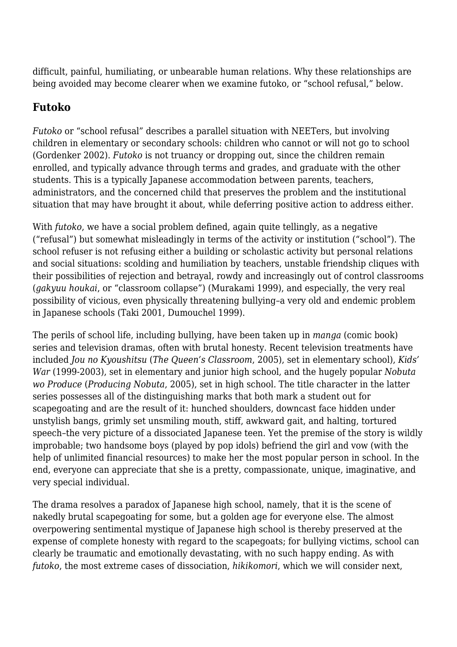difficult, painful, humiliating, or unbearable human relations. Why these relationships are being avoided may become clearer when we examine futoko, or "school refusal," below.

## **Futoko**

*Futoko* or "school refusal" describes a parallel situation with NEETers, but involving children in elementary or secondary schools: children who cannot or will not go to school (Gordenker 2002). *Futoko* is not truancy or dropping out, since the children remain enrolled, and typically advance through terms and grades, and graduate with the other students. This is a typically Japanese accommodation between parents, teachers, administrators, and the concerned child that preserves the problem and the institutional situation that may have brought it about, while deferring positive action to address either.

With *futoko*, we have a social problem defined, again quite tellingly, as a negative ("refusal") but somewhat misleadingly in terms of the activity or institution ("school"). The school refuser is not refusing either a building or scholastic activity but personal relations and social situations: scolding and humiliation by teachers, unstable friendship cliques with their possibilities of rejection and betrayal, rowdy and increasingly out of control classrooms (*gakyuu houkai*, or "classroom collapse") (Murakami 1999), and especially, the very real possibility of vicious, even physically threatening bullying–a very old and endemic problem in Japanese schools (Taki 2001, Dumouchel 1999).

The perils of school life, including bullying, have been taken up in *manga* (comic book) series and television dramas, often with brutal honesty. Recent television treatments have included *Jou no Kyoushitsu* (*The Queen's Classroom*, 2005), set in elementary school), *Kids' War* (1999-2003), set in elementary and junior high school, and the hugely popular *Nobuta wo Produce* (*Producing Nobuta*, 2005), set in high school. The title character in the latter series possesses all of the distinguishing marks that both mark a student out for scapegoating and are the result of it: hunched shoulders, downcast face hidden under unstylish bangs, grimly set unsmiling mouth, stiff, awkward gait, and halting, tortured speech–the very picture of a dissociated Japanese teen. Yet the premise of the story is wildly improbable; two handsome boys (played by pop idols) befriend the girl and vow (with the help of unlimited financial resources) to make her the most popular person in school. In the end, everyone can appreciate that she is a pretty, compassionate, unique, imaginative, and very special individual.

The drama resolves a paradox of Japanese high school, namely, that it is the scene of nakedly brutal scapegoating for some, but a golden age for everyone else. The almost overpowering sentimental mystique of Japanese high school is thereby preserved at the expense of complete honesty with regard to the scapegoats; for bullying victims, school can clearly be traumatic and emotionally devastating, with no such happy ending. As with *futoko*, the most extreme cases of dissociation, *hikikomori*, which we will consider next,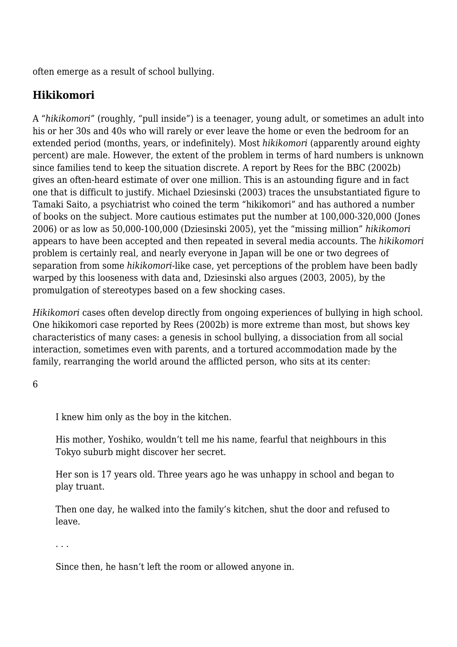often emerge as a result of school bullying.

### **Hikikomori**

A "*hikikomori*" (roughly, "pull inside") is a teenager, young adult, or sometimes an adult into his or her 30s and 40s who will rarely or ever leave the home or even the bedroom for an extended period (months, years, or indefinitely). Most *hikikomori* (apparently around eighty percent) are male. However, the extent of the problem in terms of hard numbers is unknown since families tend to keep the situation discrete. A report by Rees for the BBC (2002b) gives an often-heard estimate of over one million. This is an astounding figure and in fact one that is difficult to justify. Michael Dziesinski (2003) traces the unsubstantiated figure to Tamaki Saito, a psychiatrist who coined the term "hikikomori" and has authored a number of books on the subject. More cautious estimates put the number at 100,000-320,000 (Jones 2006) or as low as 50,000-100,000 (Dziesinski 2005), yet the "missing million" *hikikomori* appears to have been accepted and then repeated in several media accounts. The *hikikomori* problem is certainly real, and nearly everyone in Japan will be one or two degrees of separation from some *hikikomori*-like case, yet perceptions of the problem have been badly warped by this looseness with data and, Dziesinski also argues (2003, 2005), by the promulgation of stereotypes based on a few shocking cases.

*Hikikomori* cases often develop directly from ongoing experiences of bullying in high school. One hikikomori case reported by Rees (2002b) is more extreme than most, but shows key characteristics of many cases: a genesis in school bullying, a dissociation from all social interaction, sometimes even with parents, and a tortured accommodation made by the family, rearranging the world around the afflicted person, who sits at its center:

6

I knew him only as the boy in the kitchen.

His mother, Yoshiko, wouldn't tell me his name, fearful that neighbours in this Tokyo suburb might discover her secret.

Her son is 17 years old. Three years ago he was unhappy in school and began to play truant.

Then one day, he walked into the family's kitchen, shut the door and refused to leave.

. . .

Since then, he hasn't left the room or allowed anyone in.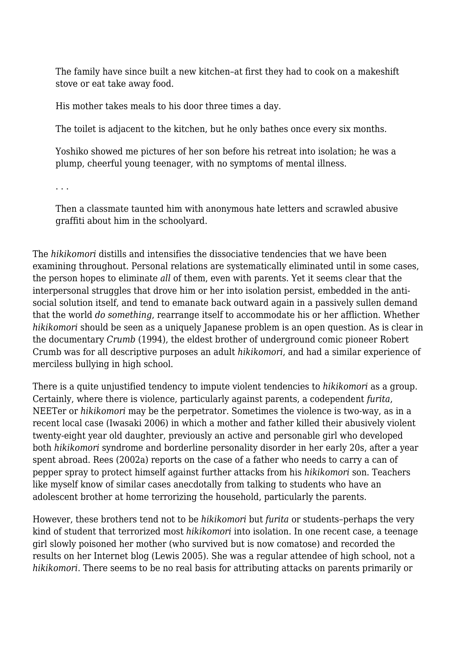The family have since built a new kitchen–at first they had to cook on a makeshift stove or eat take away food.

His mother takes meals to his door three times a day.

The toilet is adjacent to the kitchen, but he only bathes once every six months.

Yoshiko showed me pictures of her son before his retreat into isolation; he was a plump, cheerful young teenager, with no symptoms of mental illness.

. . .

Then a classmate taunted him with anonymous hate letters and scrawled abusive graffiti about him in the schoolyard.

The *hikikomori* distills and intensifies the dissociative tendencies that we have been examining throughout. Personal relations are systematically eliminated until in some cases, the person hopes to eliminate *all* of them, even with parents. Yet it seems clear that the interpersonal struggles that drove him or her into isolation persist, embedded in the antisocial solution itself, and tend to emanate back outward again in a passively sullen demand that the world *do something*, rearrange itself to accommodate his or her affliction. Whether *hikikomori* should be seen as a uniquely Japanese problem is an open question. As is clear in the documentary *Crumb* (1994), the eldest brother of underground comic pioneer Robert Crumb was for all descriptive purposes an adult *hikikomori*, and had a similar experience of merciless bullying in high school.

There is a quite unjustified tendency to impute violent tendencies to *hikikomori* as a group. Certainly, where there is violence, particularly against parents, a codependent *furita*, NEETer or *hikikomori* may be the perpetrator. Sometimes the violence is two-way, as in a recent local case (Iwasaki 2006) in which a mother and father killed their abusively violent twenty-eight year old daughter, previously an active and personable girl who developed both *hikikomori* syndrome and borderline personality disorder in her early 20s, after a year spent abroad. Rees (2002a) reports on the case of a father who needs to carry a can of pepper spray to protect himself against further attacks from his *hikikomori* son. Teachers like myself know of similar cases anecdotally from talking to students who have an adolescent brother at home terrorizing the household, particularly the parents.

However, these brothers tend not to be *hikikomori* but *furita* or students–perhaps the very kind of student that terrorized most *hikikomori* into isolation. In one recent case, a teenage girl slowly poisoned her mother (who survived but is now comatose) and recorded the results on her Internet blog (Lewis 2005). She was a regular attendee of high school, not a *hikikomori*. There seems to be no real basis for attributing attacks on parents primarily or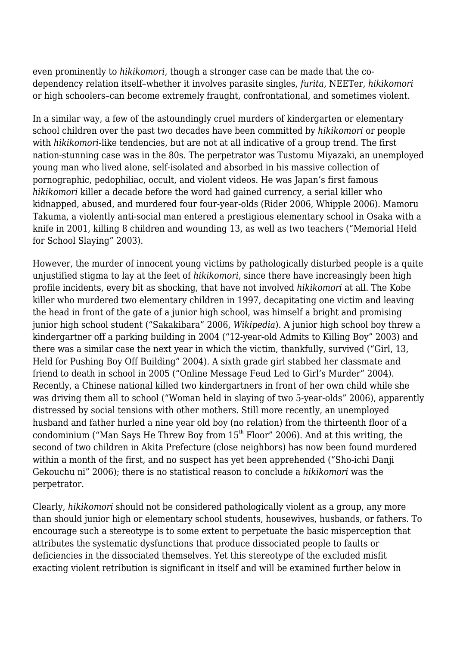even prominently to *hikikomori*, though a stronger case can be made that the codependency relation itself–whether it involves parasite singles, *furita*, NEETer, *hikikomori* or high schoolers–can become extremely fraught, confrontational, and sometimes violent.

In a similar way, a few of the astoundingly cruel murders of kindergarten or elementary school children over the past two decades have been committed by *hikikomori* or people with *hikikomori*-like tendencies, but are not at all indicative of a group trend. The first nation-stunning case was in the 80s. The perpetrator was Tustomu Miyazaki, an unemployed young man who lived alone, self-isolated and absorbed in his massive collection of pornographic, pedophiliac, occult, and violent videos. He was Japan's first famous *hikikomori* killer a decade before the word had gained currency, a serial killer who kidnapped, abused, and murdered four four-year-olds (Rider 2006, Whipple 2006). Mamoru Takuma, a violently anti-social man entered a prestigious elementary school in Osaka with a knife in 2001, killing 8 children and wounding 13, as well as two teachers ("Memorial Held for School Slaying" 2003).

However, the murder of innocent young victims by pathologically disturbed people is a quite unjustified stigma to lay at the feet of *hikikomori*, since there have increasingly been high profile incidents, every bit as shocking, that have not involved *hikikomori* at all. The Kobe killer who murdered two elementary children in 1997, decapitating one victim and leaving the head in front of the gate of a junior high school, was himself a bright and promising junior high school student ("Sakakibara" 2006, *Wikipedia*). A junior high school boy threw a kindergartner off a parking building in 2004 ("12-year-old Admits to Killing Boy" 2003) and there was a similar case the next year in which the victim, thankfully, survived ("Girl, 13, Held for Pushing Boy Off Building" 2004). A sixth grade girl stabbed her classmate and friend to death in school in 2005 ("Online Message Feud Led to Girl's Murder" 2004). Recently, a Chinese national killed two kindergartners in front of her own child while she was driving them all to school ("Woman held in slaying of two 5-year-olds" 2006), apparently distressed by social tensions with other mothers. Still more recently, an unemployed husband and father hurled a nine year old boy (no relation) from the thirteenth floor of a condominium ("Man Says He Threw Boy from  $15<sup>th</sup>$  Floor" 2006). And at this writing, the second of two children in Akita Prefecture (close neighbors) has now been found murdered within a month of the first, and no suspect has yet been apprehended ("Sho-ichi Danji Gekouchu ni" 2006); there is no statistical reason to conclude a *hikikomori* was the perpetrator.

Clearly, *hikikomori* should not be considered pathologically violent as a group, any more than should junior high or elementary school students, housewives, husbands, or fathers. To encourage such a stereotype is to some extent to perpetuate the basic misperception that attributes the systematic dysfunctions that produce dissociated people to faults or deficiencies in the dissociated themselves. Yet this stereotype of the excluded misfit exacting violent retribution is significant in itself and will be examined further below in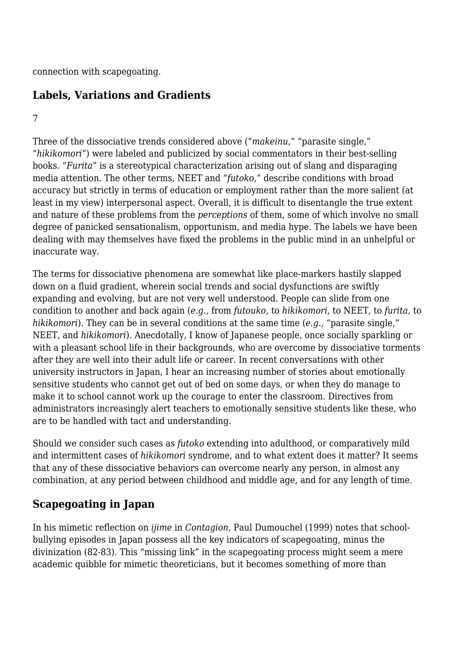connection with scapegoating.

### **Labels, Variations and Gradients**

#### 7

Three of the dissociative trends considered above ("*makeinu*," "parasite single," "*hikikomori*") were labeled and publicized by social commentators in their best-selling books. "*Furita*" is a stereotypical characterization arising out of slang and disparaging media attention. The other terms, NEET and "*futoko*," describe conditions with broad accuracy but strictly in terms of education or employment rather than the more salient (at least in my view) interpersonal aspect. Overall, it is difficult to disentangle the true extent and nature of these problems from the *perceptions* of them, some of which involve no small degree of panicked sensationalism, opportunism, and media hype. The labels we have been dealing with may themselves have fixed the problems in the public mind in an unhelpful or inaccurate way.

The terms for dissociative phenomena are somewhat like place-markers hastily slapped down on a fluid gradient, wherein social trends and social dysfunctions are swiftly expanding and evolving, but are not very well understood. People can slide from one condition to another and back again (*e.g.,* from *futouko*, to *hikikomori,* to NEET, to *furita*, to *hikikomori*). They can be in several conditions at the same time (*e.g*., "parasite single," NEET, and *hikikomori*). Anecdotally, I know of Japanese people, once socially sparkling or with a pleasant school life in their backgrounds, who are overcome by dissociative torments after they are well into their adult life or career. In recent conversations with other university instructors in Japan, I hear an increasing number of stories about emotionally sensitive students who cannot get out of bed on some days, or when they do manage to make it to school cannot work up the courage to enter the classroom. Directives from administrators increasingly alert teachers to emotionally sensitive students like these, who are to be handled with tact and understanding.

Should we consider such cases as *futoko* extending into adulthood, or comparatively mild and intermittent cases of *hikikomori* syndrome, and to what extent does it matter? It seems that any of these dissociative behaviors can overcome nearly any person, in almost any combination, at any period between childhood and middle age, and for any length of time.

#### **Scapegoating in Japan**

In his mimetic reflection on *ijime* in *Contagion*, Paul Dumouchel (1999) notes that schoolbullying episodes in Japan possess all the key indicators of scapegoating, minus the divinization (82-83). This "missing link" in the scapegoating process might seem a mere academic quibble for mimetic theoreticians, but it becomes something of more than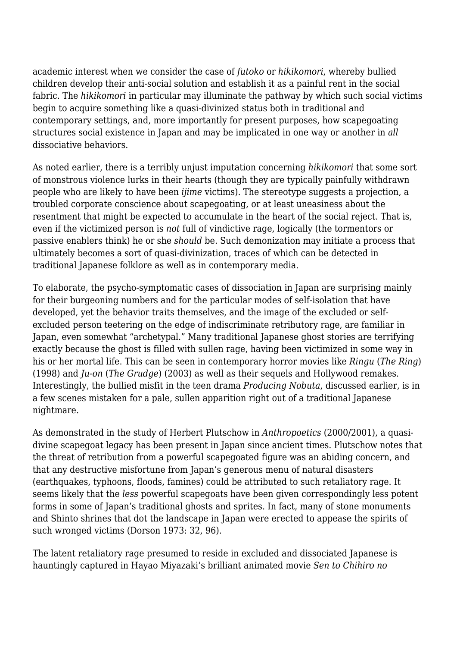academic interest when we consider the case of *futoko* or *hikikomori*, whereby bullied children develop their anti-social solution and establish it as a painful rent in the social fabric. The *hikikomori* in particular may illuminate the pathway by which such social victims begin to acquire something like a quasi-divinized status both in traditional and contemporary settings, and, more importantly for present purposes, how scapegoating structures social existence in Japan and may be implicated in one way or another in *all* dissociative behaviors.

As noted earlier, there is a terribly unjust imputation concerning *hikikomori* that some sort of monstrous violence lurks in their hearts (though they are typically painfully withdrawn people who are likely to have been *ijime* victims). The stereotype suggests a projection, a troubled corporate conscience about scapegoating, or at least uneasiness about the resentment that might be expected to accumulate in the heart of the social reject. That is, even if the victimized person is *not* full of vindictive rage, logically (the tormentors or passive enablers think) he or she *should* be. Such demonization may initiate a process that ultimately becomes a sort of quasi-divinization, traces of which can be detected in traditional Japanese folklore as well as in contemporary media.

To elaborate, the psycho-symptomatic cases of dissociation in Japan are surprising mainly for their burgeoning numbers and for the particular modes of self-isolation that have developed, yet the behavior traits themselves, and the image of the excluded or selfexcluded person teetering on the edge of indiscriminate retributory rage, are familiar in Japan, even somewhat "archetypal." Many traditional Japanese ghost stories are terrifying exactly because the ghost is filled with sullen rage, having been victimized in some way in his or her mortal life. This can be seen in contemporary horror movies like *Ringu* (*The Ring*) (1998) and *Ju-on* (*The Grudge*) (2003) as well as their sequels and Hollywood remakes. Interestingly, the bullied misfit in the teen drama *Producing Nobuta*, discussed earlier, is in a few scenes mistaken for a pale, sullen apparition right out of a traditional Japanese nightmare.

As demonstrated in the study of Herbert Plutschow in *Anthropoetics* (2000/2001), a quasidivine scapegoat legacy has been present in Japan since ancient times. Plutschow notes that the threat of retribution from a powerful scapegoated figure was an abiding concern, and that any destructive misfortune from Japan's generous menu of natural disasters (earthquakes, typhoons, floods, famines) could be attributed to such retaliatory rage. It seems likely that the *less* powerful scapegoats have been given correspondingly less potent forms in some of Japan's traditional ghosts and sprites. In fact, many of stone monuments and Shinto shrines that dot the landscape in Japan were erected to appease the spirits of such wronged victims (Dorson 1973: 32, 96).

The latent retaliatory rage presumed to reside in excluded and dissociated Japanese is hauntingly captured in Hayao Miyazaki's brilliant animated movie *Sen to Chihiro no*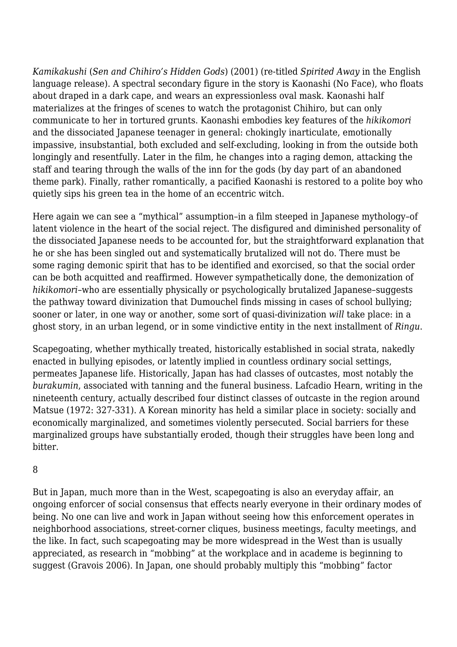*Kamikakushi* (*Sen and Chihiro's Hidden Gods*) (2001) (re-titled *Spirited Away* in the English language release). A spectral secondary figure in the story is Kaonashi (No Face), who floats about draped in a dark cape, and wears an expressionless oval mask. Kaonashi half materializes at the fringes of scenes to watch the protagonist Chihiro, but can only communicate to her in tortured grunts. Kaonashi embodies key features of the *hikikomori* and the dissociated Japanese teenager in general: chokingly inarticulate, emotionally impassive, insubstantial, both excluded and self-excluding, looking in from the outside both longingly and resentfully. Later in the film, he changes into a raging demon, attacking the staff and tearing through the walls of the inn for the gods (by day part of an abandoned theme park). Finally, rather romantically, a pacified Kaonashi is restored to a polite boy who quietly sips his green tea in the home of an eccentric witch.

Here again we can see a "mythical" assumption–in a film steeped in Japanese mythology–of latent violence in the heart of the social reject. The disfigured and diminished personality of the dissociated Japanese needs to be accounted for, but the straightforward explanation that he or she has been singled out and systematically brutalized will not do. There must be some raging demonic spirit that has to be identified and exorcised, so that the social order can be both acquitted and reaffirmed. However sympathetically done, the demonization of *hikikomori*–who are essentially physically or psychologically brutalized Japanese–suggests the pathway toward divinization that Dumouchel finds missing in cases of school bullying; sooner or later, in one way or another, some sort of quasi-divinization *will* take place: in a ghost story, in an urban legend, or in some vindictive entity in the next installment of *Ringu*.

Scapegoating, whether mythically treated, historically established in social strata, nakedly enacted in bullying episodes, or latently implied in countless ordinary social settings, permeates Japanese life. Historically, Japan has had classes of outcastes, most notably the *burakumin*, associated with tanning and the funeral business. Lafcadio Hearn, writing in the nineteenth century, actually described four distinct classes of outcaste in the region around Matsue (1972: 327-331). A Korean minority has held a similar place in society: socially and economically marginalized, and sometimes violently persecuted. Social barriers for these marginalized groups have substantially eroded, though their struggles have been long and bitter.

#### 8

But in Japan, much more than in the West, scapegoating is also an everyday affair, an ongoing enforcer of social consensus that effects nearly everyone in their ordinary modes of being. No one can live and work in Japan without seeing how this enforcement operates in neighborhood associations, street-corner cliques, business meetings, faculty meetings, and the like. In fact, such scapegoating may be more widespread in the West than is usually appreciated, as research in "mobbing" at the workplace and in academe is beginning to suggest (Gravois 2006). In Japan, one should probably multiply this "mobbing" factor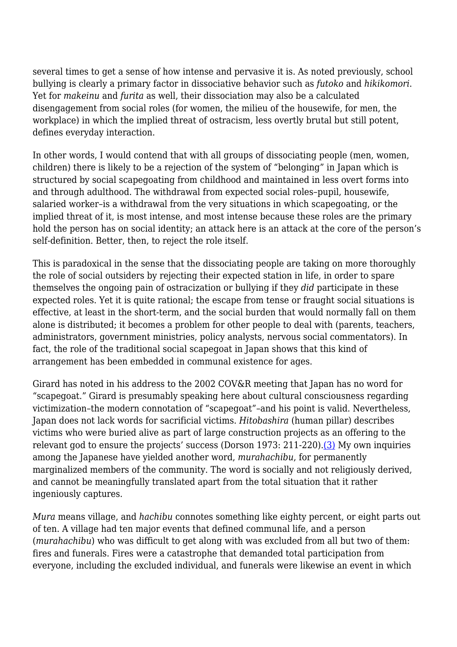several times to get a sense of how intense and pervasive it is. As noted previously, school bullying is clearly a primary factor in dissociative behavior such as *futoko* and *hikikomori*. Yet for *makeinu* and *furita* as well, their dissociation may also be a calculated disengagement from social roles (for women, the milieu of the housewife, for men, the workplace) in which the implied threat of ostracism, less overtly brutal but still potent, defines everyday interaction.

In other words, I would contend that with all groups of dissociating people (men, women, children) there is likely to be a rejection of the system of "belonging" in Japan which is structured by social scapegoating from childhood and maintained in less overt forms into and through adulthood. The withdrawal from expected social roles–pupil, housewife, salaried worker–is a withdrawal from the very situations in which scapegoating, or the implied threat of it, is most intense, and most intense because these roles are the primary hold the person has on social identity; an attack here is an attack at the core of the person's self-definition. Better, then, to reject the role itself.

This is paradoxical in the sense that the dissociating people are taking on more thoroughly the role of social outsiders by rejecting their expected station in life, in order to spare themselves the ongoing pain of ostracization or bullying if they *did* participate in these expected roles. Yet it is quite rational; the escape from tense or fraught social situations is effective, at least in the short-term, and the social burden that would normally fall on them alone is distributed; it becomes a problem for other people to deal with (parents, teachers, administrators, government ministries, policy analysts, nervous social commentators). In fact, the role of the traditional social scapegoat in Japan shows that this kind of arrangement has been embedded in communal existence for ages.

Girard has noted in his address to the 2002 COV&R meeting that Japan has no word for "scapegoat." Girard is presumably speaking here about cultural consciousness regarding victimization–the modern connotation of "scapegoat"–and his point is valid. Nevertheless, Japan does not lack words for sacrificial victims. *Hitobashira* (human pillar) describes victims who were buried alive as part of large construction projects as an offering to the relevant god to ensure the projects' success (Dorson 1973: 211-220). [\(3\)](http://anthropoetics.ucla.edu/ap1201/taylor#n3) My own inquiries among the Japanese have yielded another word, *murahachibu*, for permanently marginalized members of the community. The word is socially and not religiously derived, and cannot be meaningfully translated apart from the total situation that it rather ingeniously captures.

*Mura* means village, and *hachibu* connotes something like eighty percent, or eight parts out of ten. A village had ten major events that defined communal life, and a person (*murahachibu*) who was difficult to get along with was excluded from all but two of them: fires and funerals. Fires were a catastrophe that demanded total participation from everyone, including the excluded individual, and funerals were likewise an event in which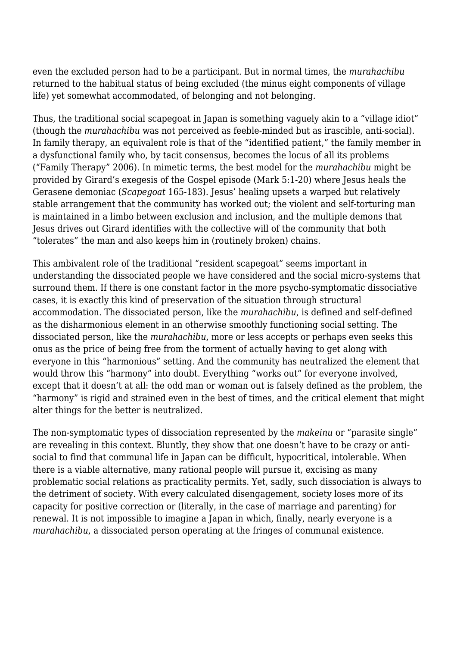even the excluded person had to be a participant. But in normal times, the *murahachibu* returned to the habitual status of being excluded (the minus eight components of village life) yet somewhat accommodated, of belonging and not belonging.

Thus, the traditional social scapegoat in Japan is something vaguely akin to a "village idiot" (though the *murahachibu* was not perceived as feeble-minded but as irascible, anti-social). In family therapy, an equivalent role is that of the "identified patient," the family member in a dysfunctional family who, by tacit consensus, becomes the locus of all its problems ("Family Therapy" 2006). In mimetic terms, the best model for the *murahachibu* might be provided by Girard's exegesis of the Gospel episode (Mark 5:1-20) where Jesus heals the Gerasene demoniac (*Scapegoat* 165-183). Jesus' healing upsets a warped but relatively stable arrangement that the community has worked out; the violent and self-torturing man is maintained in a limbo between exclusion and inclusion, and the multiple demons that Jesus drives out Girard identifies with the collective will of the community that both "tolerates" the man and also keeps him in (routinely broken) chains.

This ambivalent role of the traditional "resident scapegoat" seems important in understanding the dissociated people we have considered and the social micro-systems that surround them. If there is one constant factor in the more psycho-symptomatic dissociative cases, it is exactly this kind of preservation of the situation through structural accommodation. The dissociated person, like the *murahachibu*, is defined and self-defined as the disharmonious element in an otherwise smoothly functioning social setting. The dissociated person, like the *murahachibu*, more or less accepts or perhaps even seeks this onus as the price of being free from the torment of actually having to get along with everyone in this "harmonious" setting. And the community has neutralized the element that would throw this "harmony" into doubt. Everything "works out" for everyone involved, except that it doesn't at all: the odd man or woman out is falsely defined as the problem, the "harmony" is rigid and strained even in the best of times, and the critical element that might alter things for the better is neutralized.

The non-symptomatic types of dissociation represented by the *makeinu* or "parasite single" are revealing in this context. Bluntly, they show that one doesn't have to be crazy or antisocial to find that communal life in Japan can be difficult, hypocritical, intolerable. When there is a viable alternative, many rational people will pursue it, excising as many problematic social relations as practicality permits. Yet, sadly, such dissociation is always to the detriment of society. With every calculated disengagement, society loses more of its capacity for positive correction or (literally, in the case of marriage and parenting) for renewal. It is not impossible to imagine a Japan in which, finally, nearly everyone is a *murahachibu*, a dissociated person operating at the fringes of communal existence.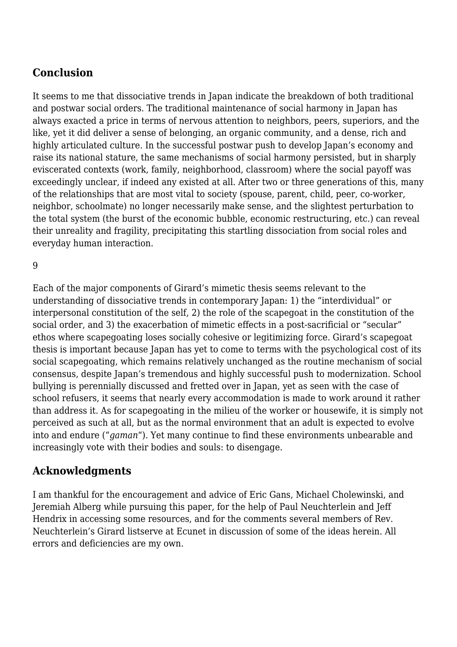### **Conclusion**

It seems to me that dissociative trends in Japan indicate the breakdown of both traditional and postwar social orders. The traditional maintenance of social harmony in Japan has always exacted a price in terms of nervous attention to neighbors, peers, superiors, and the like, yet it did deliver a sense of belonging, an organic community, and a dense, rich and highly articulated culture. In the successful postwar push to develop Japan's economy and raise its national stature, the same mechanisms of social harmony persisted, but in sharply eviscerated contexts (work, family, neighborhood, classroom) where the social payoff was exceedingly unclear, if indeed any existed at all. After two or three generations of this, many of the relationships that are most vital to society (spouse, parent, child, peer, co-worker, neighbor, schoolmate) no longer necessarily make sense, and the slightest perturbation to the total system (the burst of the economic bubble, economic restructuring, etc.) can reveal their unreality and fragility, precipitating this startling dissociation from social roles and everyday human interaction.

9

Each of the major components of Girard's mimetic thesis seems relevant to the understanding of dissociative trends in contemporary Japan: 1) the "interdividual" or interpersonal constitution of the self, 2) the role of the scapegoat in the constitution of the social order, and 3) the exacerbation of mimetic effects in a post-sacrificial or "secular" ethos where scapegoating loses socially cohesive or legitimizing force. Girard's scapegoat thesis is important because Japan has yet to come to terms with the psychological cost of its social scapegoating, which remains relatively unchanged as the routine mechanism of social consensus, despite Japan's tremendous and highly successful push to modernization. School bullying is perennially discussed and fretted over in Japan, yet as seen with the case of school refusers, it seems that nearly every accommodation is made to work around it rather than address it. As for scapegoating in the milieu of the worker or housewife, it is simply not perceived as such at all, but as the normal environment that an adult is expected to evolve into and endure ("*gaman*"). Yet many continue to find these environments unbearable and increasingly vote with their bodies and souls: to disengage.

#### **Acknowledgments**

I am thankful for the encouragement and advice of Eric Gans, Michael Cholewinski, and Jeremiah Alberg while pursuing this paper, for the help of Paul Neuchterlein and Jeff Hendrix in accessing some resources, and for the comments several members of Rev. Neuchterlein's Girard listserve at Ecunet in discussion of some of the ideas herein. All errors and deficiencies are my own.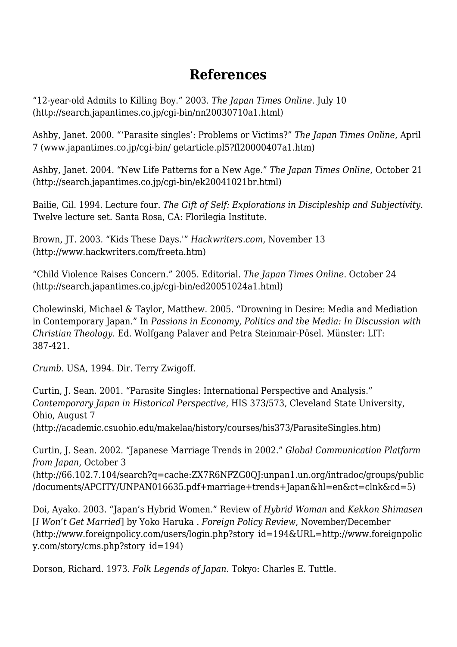# **References**

"12-year-old Admits to Killing Boy." 2003. *The Japan Times Online*. July 10 (http://search.japantimes.co.jp/cgi-bin/nn20030710a1.html)

Ashby, Janet. 2000. "'Parasite singles': Problems or Victims?" *The Japan Times Online*, April 7 (www.japantimes.co.jp/cgi-bin/ getarticle.pl5?fl20000407a1.htm)

Ashby, Janet. 2004. "New Life Patterns for a New Age." *The Japan Times Online*, October 21 (http://search.japantimes.co.jp/cgi-bin/ek20041021br.html)

Bailie, Gil. 1994. Lecture four. *The Gift of Self: Explorations in Discipleship and Subjectivity*. Twelve lecture set. Santa Rosa, CA: Florilegia Institute.

Brown, JT. 2003. "Kids These Days.'" *Hackwriters.com*, November 13 (http://www.hackwriters.com/freeta.htm)

"Child Violence Raises Concern." 2005. Editorial. *The Japan Times Online*. October 24 (http://search.japantimes.co.jp/cgi-bin/ed20051024a1.html)

Cholewinski, Michael & Taylor, Matthew. 2005. "Drowning in Desire: Media and Mediation in Contemporary Japan." In *Passions in Economy, Politics and the Media: In Discussion with Christian Theology*. Ed. Wolfgang Palaver and Petra Steinmair-Pösel. Münster: LIT: 387-421.

*Crumb*. USA, 1994. Dir. Terry Zwigoff.

Curtin, J. Sean. 2001. "Parasite Singles: International Perspective and Analysis." *Contemporary Japan in Historical Perspective*, HIS 373/573, Cleveland State University, Ohio, August 7

(http://academic.csuohio.edu/makelaa/history/courses/his373/ParasiteSingles.htm)

Curtin, J. Sean. 2002. "Japanese Marriage Trends in 2002." *Global Communication Platform from Japan*, October 3

(http://66.102.7.104/search?q=cache:ZX7R6NFZG0QJ:unpan1.un.org/intradoc/groups/public /documents/APCITY/UNPAN016635.pdf+marriage+trends+Japan&hl=en&ct=clnk&cd=5)

Doi, Ayako. 2003. "Japan's Hybrid Women." Review of *Hybrid Woman* and *Kekkon Shimasen* [*I Won't Get Married*] by Yoko Haruka . *Foreign Policy Review*, November/December (http://www.foreignpolicy.com/users/login.php?story\_id=194&URL=http://www.foreignpolic y.com/story/cms.php?story\_id=194)

Dorson, Richard. 1973. *Folk Legends of Japan*. Tokyo: Charles E. Tuttle.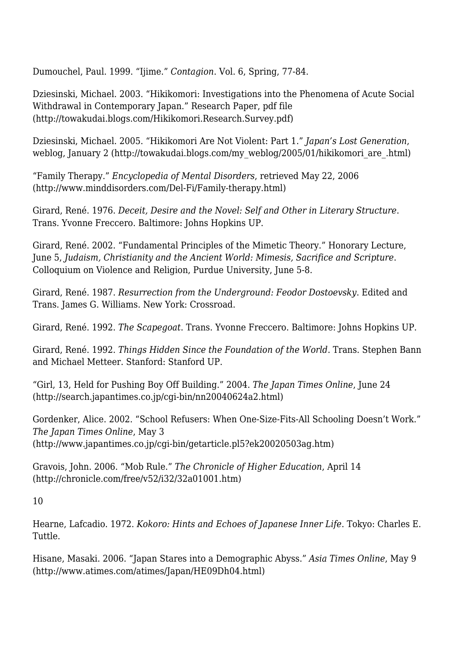Dumouchel, Paul. 1999. "Ijime." *Contagion*. Vol. 6, Spring, 77-84.

Dziesinski, Michael. 2003. "Hikikomori: Investigations into the Phenomena of Acute Social Withdrawal in Contemporary Japan." Research Paper, pdf file (http://towakudai.blogs.com/Hikikomori.Research.Survey.pdf)

Dziesinski, Michael. 2005. "Hikikomori Are Not Violent: Part 1." *Japan's Lost Generation*, weblog, January 2 (http://towakudai.blogs.com/my\_weblog/2005/01/hikikomori\_are\_.html)

"Family Therapy." *Encyclopedia of Mental Disorders*, retrieved May 22, 2006 (http://www.minddisorders.com/Del-Fi/Family-therapy.html)

Girard, René. 1976. *Deceit, Desire and the Novel: Self and Other in Literary Structure*. Trans. Yvonne Freccero. Baltimore: Johns Hopkins UP.

Girard, René. 2002. "Fundamental Principles of the Mimetic Theory." Honorary Lecture, June 5, *Judaism, Christianity and the Ancient World: Mimesis, Sacrifice and Scripture*. Colloquium on Violence and Religion, Purdue University, June 5-8.

Girard, René. 1987. *Resurrection from the Underground: Feodor Dostoevsky*. Edited and Trans. James G. Williams. New York: Crossroad.

Girard, René. 1992. *The Scapegoat*. Trans. Yvonne Freccero. Baltimore: Johns Hopkins UP.

Girard, René. 1992. *Things Hidden Since the Foundation of the World*. Trans. Stephen Bann and Michael Metteer. Stanford: Stanford UP.

"Girl, 13, Held for Pushing Boy Off Building." 2004. *The Japan Times Online*, June 24 (http://search.japantimes.co.jp/cgi-bin/nn20040624a2.html)

Gordenker, Alice. 2002. "School Refusers: When One-Size-Fits-All Schooling Doesn't Work." *The Japan Times Online*, May 3 (http://www.japantimes.co.jp/cgi-bin/getarticle.pl5?ek20020503ag.htm)

Gravois, John. 2006. "Mob Rule." *The Chronicle of Higher Education*, April 14 (http://chronicle.com/free/v52/i32/32a01001.htm)

10

Hearne, Lafcadio. 1972. *Kokoro: Hints and Echoes of Japanese Inner Life*. Tokyo: Charles E. Tuttle.

Hisane, Masaki. 2006. "Japan Stares into a Demographic Abyss." *Asia Times Online*, May 9 (http://www.atimes.com/atimes/Japan/HE09Dh04.html)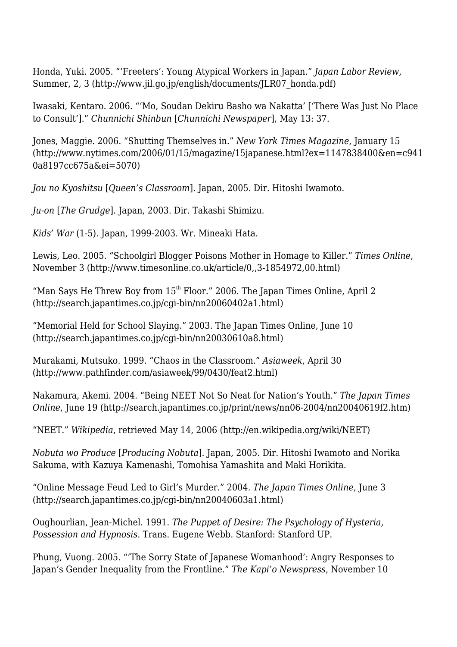Honda, Yuki. 2005. "'Freeters': Young Atypical Workers in Japan." *Japan Labor Review*, Summer, 2, 3 (http://www.jil.go.jp/english/documents/JLR07\_honda.pdf)

Iwasaki, Kentaro. 2006. "'Mo, Soudan Dekiru Basho wa Nakatta' ['There Was Just No Place to Consult']." *Chunnichi Shinbun* [*Chunnichi Newspaper*], May 13: 37.

Jones, Maggie. 2006. "Shutting Themselves in." *New York Times Magazine*, January 15 (http://www.nytimes.com/2006/01/15/magazine/15japanese.html?ex=1147838400&en=c941 0a8197cc675a&ei=5070)

*Jou no Kyoshitsu* [*Queen's Classroom*]. Japan, 2005. Dir. Hitoshi Iwamoto.

*Ju-on* [*The Grudge*]. Japan, 2003. Dir. Takashi Shimizu.

*Kids' War* (1-5). Japan, 1999-2003. Wr. Mineaki Hata.

Lewis, Leo. 2005. "Schoolgirl Blogger Poisons Mother in Homage to Killer." *Times Online*, November 3 (http://www.timesonline.co.uk/article/0,,3-1854972,00.html)

"Man Says He Threw Boy from  $15<sup>th</sup>$  Floor." 2006. The Japan Times Online, April 2 (http://search.japantimes.co.jp/cgi-bin/nn20060402a1.html)

"Memorial Held for School Slaying." 2003. The Japan Times Online, June 10 (http://search.japantimes.co.jp/cgi-bin/nn20030610a8.html)

Murakami, Mutsuko. 1999. "Chaos in the Classroom." *Asiaweek*, April 30 (http://www.pathfinder.com/asiaweek/99/0430/feat2.html)

Nakamura, Akemi. 2004. "Being NEET Not So Neat for Nation's Youth." *The Japan Times Online*, June 19 (http://search.japantimes.co.jp/print/news/nn06-2004/nn20040619f2.htm)

"NEET." *Wikipedia*, retrieved May 14, 2006 (http://en.wikipedia.org/wiki/NEET)

*Nobuta wo Produce* [*Producing Nobuta*]. Japan, 2005. Dir. Hitoshi Iwamoto and Norika Sakuma, with Kazuya Kamenashi, Tomohisa Yamashita and Maki Horikita.

"Online Message Feud Led to Girl's Murder." 2004. *The Japan Times Online*, June 3 (http://search.japantimes.co.jp/cgi-bin/nn20040603a1.html)

Oughourlian, Jean-Michel. 1991. *The Puppet of Desire: The Psychology of Hysteria, Possession and Hypnosis*. Trans. Eugene Webb. Stanford: Stanford UP.

Phung, Vuong. 2005. "'The Sorry State of Japanese Womanhood': Angry Responses to Japan's Gender Inequality from the Frontline." *The Kapi'o Newspress*, November 10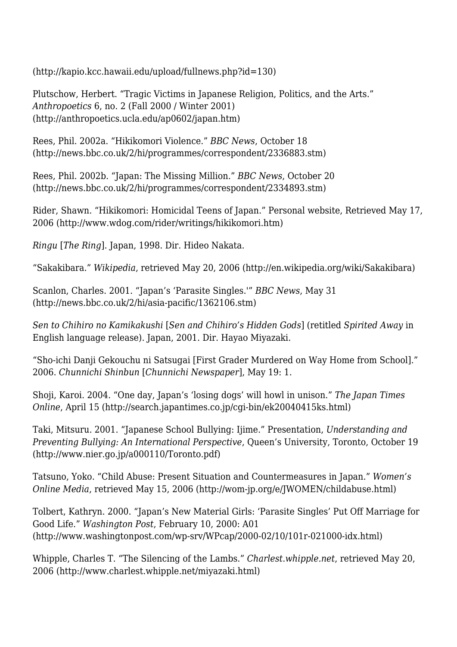(http://kapio.kcc.hawaii.edu/upload/fullnews.php?id=130)

Plutschow, Herbert. "Tragic Victims in Japanese Religion, Politics, and the Arts." *Anthropoetics* 6, no. 2 (Fall 2000 / Winter 2001) (http://anthropoetics.ucla.edu/ap0602/japan.htm)

Rees, Phil. 2002a. "Hikikomori Violence." *BBC News*, October 18 (http://news.bbc.co.uk/2/hi/programmes/correspondent/2336883.stm)

Rees, Phil. 2002b. "Japan: The Missing Million." *BBC News*, October 20 (http://news.bbc.co.uk/2/hi/programmes/correspondent/2334893.stm)

Rider, Shawn. "Hikikomori: Homicidal Teens of Japan." Personal website, Retrieved May 17, 2006 (http://www.wdog.com/rider/writings/hikikomori.htm)

*Ringu* [*The Ring*]. Japan, 1998. Dir. Hideo Nakata.

"Sakakibara." *Wikipedia*, retrieved May 20, 2006 (http://en.wikipedia.org/wiki/Sakakibara)

Scanlon, Charles. 2001. "Japan's 'Parasite Singles.'" *BBC News*, May 31 (http://news.bbc.co.uk/2/hi/asia-pacific/1362106.stm)

*Sen to Chihiro no Kamikakushi* [*Sen and Chihiro's Hidden Gods*] (retitled *Spirited Away* in English language release). Japan, 2001. Dir. Hayao Miyazaki.

"Sho-ichi Danji Gekouchu ni Satsugai [First Grader Murdered on Way Home from School]." 2006. *Chunnichi Shinbun* [*Chunnichi Newspaper*], May 19: 1.

Shoji, Karoi. 2004. "One day, Japan's 'losing dogs' will howl in unison." *The Japan Times Online*, April 15 (http://search.japantimes.co.jp/cgi-bin/ek20040415ks.html)

Taki, Mitsuru. 2001. "Japanese School Bullying: Ijime." Presentation, *Understanding and Preventing Bullying: An International Perspective*, Queen's University, Toronto, October 19 (http://www.nier.go.jp/a000110/Toronto.pdf)

Tatsuno, Yoko. "Child Abuse: Present Situation and Countermeasures in Japan." *Women's Online Media*, retrieved May 15, 2006 (http://wom-jp.org/e/JWOMEN/childabuse.html)

Tolbert, Kathryn. 2000. "Japan's New Material Girls: 'Parasite Singles' Put Off Marriage for Good Life." *Washington Post*, February 10, 2000: A01 (http://www.washingtonpost.com/wp-srv/WPcap/2000-02/10/101r-021000-idx.html)

Whipple, Charles T. "The Silencing of the Lambs." *Charlest.whipple.net*, retrieved May 20, 2006 (http://www.charlest.whipple.net/miyazaki.html)